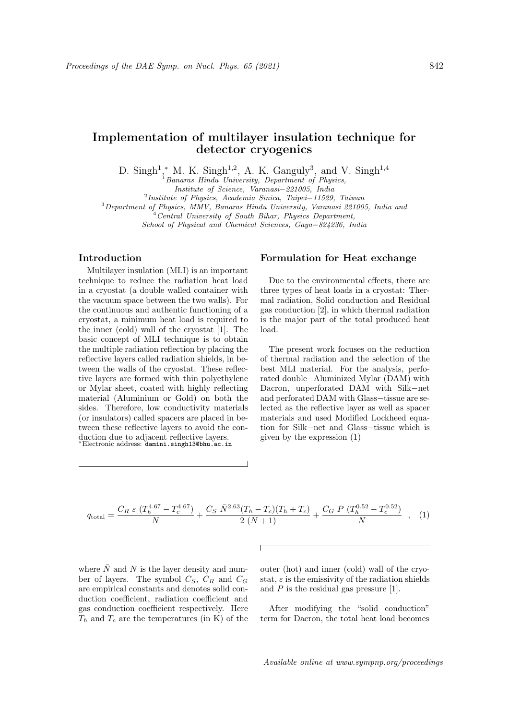# Implementation of multilayer insulation technique for detector cryogenics

D. Singh<sup>1</sup>,<sup>\*</sup> M. K. Singh<sup>1,2</sup>, A. K. Ganguly<sup>3</sup>, and V. Singh<sup>1,4</sup>

 $1$ Banaras Hindu University, Department of Physics,

Institute of Science, Varanasi−221005, India

2 Institute of Physics, Academia Sinica, Taipei−11529, Taiwan

<sup>3</sup>Department of Physics, MMV, Banaras Hindu University, Varanasi 221005, India and

 $4$  Central University of South Bihar, Physics Department,

School of Physical and Chemical Sciences, Gaya−824236, India

## Introduction

Multilayer insulation (MLI) is an important technique to reduce the radiation heat load in a cryostat (a double walled container with the vacuum space between the two walls). For the continuous and authentic functioning of a cryostat, a minimum heat load is required to the inner (cold) wall of the cryostat [1]. The basic concept of MLI technique is to obtain the multiple radiation reflection by placing the reflective layers called radiation shields, in between the walls of the cryostat. These reflective layers are formed with thin polyethylene or Mylar sheet, coated with highly reflecting material (Aluminium or Gold) on both the sides. Therefore, low conductivity materials (or insulators) called spacers are placed in between these reflective layers to avoid the conduction due to adjacent reflective layers. <sup>∗</sup>Electronic address: damini.singh13@bhu.ac.in

#### Formulation for Heat exchange

Due to the environmental effects, there are three types of heat loads in a cryostat: Thermal radiation, Solid conduction and Residual gas conduction [2], in which thermal radiation is the major part of the total produced heat load.

The present work focuses on the reduction of thermal radiation and the selection of the best MLI material. For the analysis, perforated double−Aluminized Mylar (DAM) with Dacron, unperforated DAM with Silk−net and perforated DAM with Glass−tissue are selected as the reflective layer as well as spacer materials and used Modified Lockheed equation for Silk−net and Glass−tissue which is given by the expression (1)

$$
q_{\text{total}} = \frac{C_R \ \varepsilon \ (T_h^{4.67} - T_c^{4.67})}{N} + \frac{C_S \ \bar{N}^{2.63} (T_h - T_c)(T_h + T_c)}{2 \ (N+1)} + \frac{C_G \ P \ (T_h^{0.52} - T_c^{0.52})}{N} \quad , \quad (1)
$$

 $\Gamma$ 

where  $\overline{N}$  and N is the layer density and number of layers. The symbol  $C_S$ ,  $C_R$  and  $C_G$ are empirical constants and denotes solid conduction coefficient, radiation coefficient and gas conduction coefficient respectively. Here  $T_h$  and  $T_c$  are the temperatures (in K) of the outer (hot) and inner (cold) wall of the cryostat,  $\varepsilon$  is the emissivity of the radiation shields and  $P$  is the residual gas pressure [1].

After modifying the "solid conduction" term for Dacron, the total heat load becomes

Available online at www.sympnp.org/proceedings